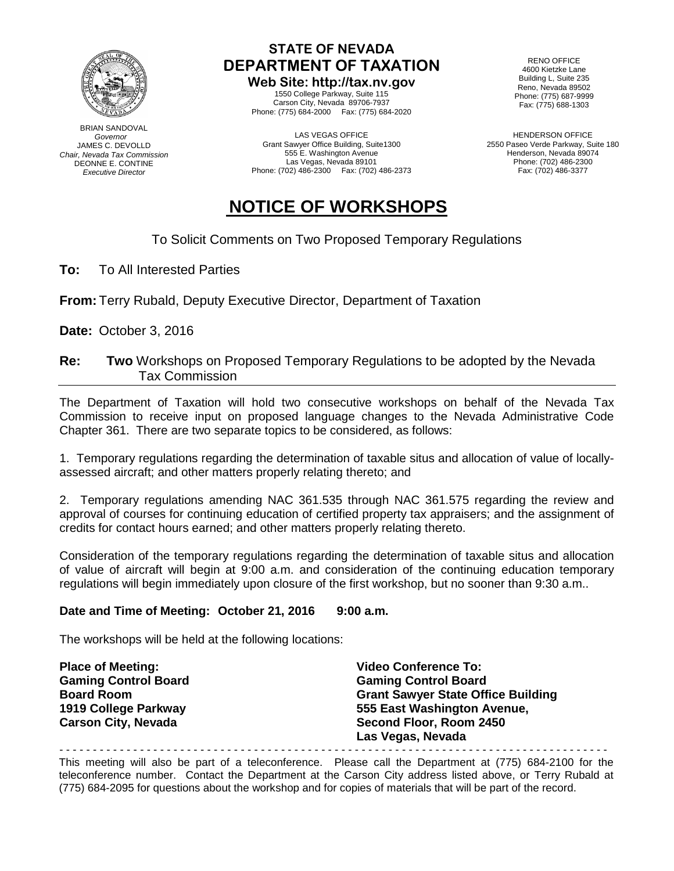

BRIAN SANDOVAL  *Governor* JAMES C. DEVOLLD *Chair, Nevada Tax Commission* DEONNE E. CONTINE *Executive Director*

## **STATE OF NEVADA DEPARTMENT OF TAXATION**

**Web Site: http://tax.nv.gov** 1550 College Parkway, Suite 115 Carson City, Nevada 89706-7937 Phone: (775) 684-2000 Fax: (775) 684-2020

LAS VEGAS OFFICE Grant Sawyer Office Building, Suite1300 555 E. Washington Avenue Las Vegas, Nevada 89101 Phone: (702) 486-2300 Fax: (702) 486-2373

RENO OFFICE 4600 Kietzke Lane Building L, Suite 235 Reno, Nevada 89502 Phone: (775) 687-9999 Fax: (775) 688-1303

HENDERSON OFFICE 2550 Paseo Verde Parkway, Suite 180 Henderson, Nevada 89074 Phone: (702) 486-2300 Fax: (702) 486-3377

# **NOTICE OF WORKSHOPS**

### To Solicit Comments on Two Proposed Temporary Regulations

**To:** To All Interested Parties

**From:** Terry Rubald, Deputy Executive Director, Department of Taxation

**Date:** October 3, 2016

#### **Re: Two** Workshops on Proposed Temporary Regulations to be adopted by the Nevada Tax Commission

The Department of Taxation will hold two consecutive workshops on behalf of the Nevada Tax Commission to receive input on proposed language changes to the Nevada Administrative Code Chapter 361. There are two separate topics to be considered, as follows:

1. Temporary regulations regarding the determination of taxable situs and allocation of value of locallyassessed aircraft; and other matters properly relating thereto; and

2. Temporary regulations amending NAC 361.535 through NAC 361.575 regarding the review and approval of courses for continuing education of certified property tax appraisers; and the assignment of credits for contact hours earned; and other matters properly relating thereto.

Consideration of the temporary regulations regarding the determination of taxable situs and allocation of value of aircraft will begin at 9:00 a.m. and consideration of the continuing education temporary regulations will begin immediately upon closure of the first workshop, but no sooner than 9:30 a.m..

#### **Date and Time of Meeting: October 21, 2016 9:00 a.m.**

The workshops will be held at the following locations:

| <b>Place of Meeting:</b>    | <b>Video Conference To:</b>               |
|-----------------------------|-------------------------------------------|
| <b>Gaming Control Board</b> | <b>Gaming Control Board</b>               |
| <b>Board Room</b>           | <b>Grant Sawyer State Office Building</b> |
| 1919 College Parkway        | 555 East Washington Avenue,               |
| <b>Carson City, Nevada</b>  | Second Floor, Room 2450                   |
|                             | Las Vegas, Nevada                         |

This meeting will also be part of a teleconference. Please call the Department at (775) 684-2100 for the teleconference number. Contact the Department at the Carson City address listed above, or Terry Rubald at (775) 684-2095 for questions about the workshop and for copies of materials that will be part of the record.

- - - - - - - - - - - - - - - - - - - - - - - - - - - - - - - - - - - - - - - - - - - - - - - - - - - - - - - - - - - - - - - - - - - - - - - - - - - - - - - - - -